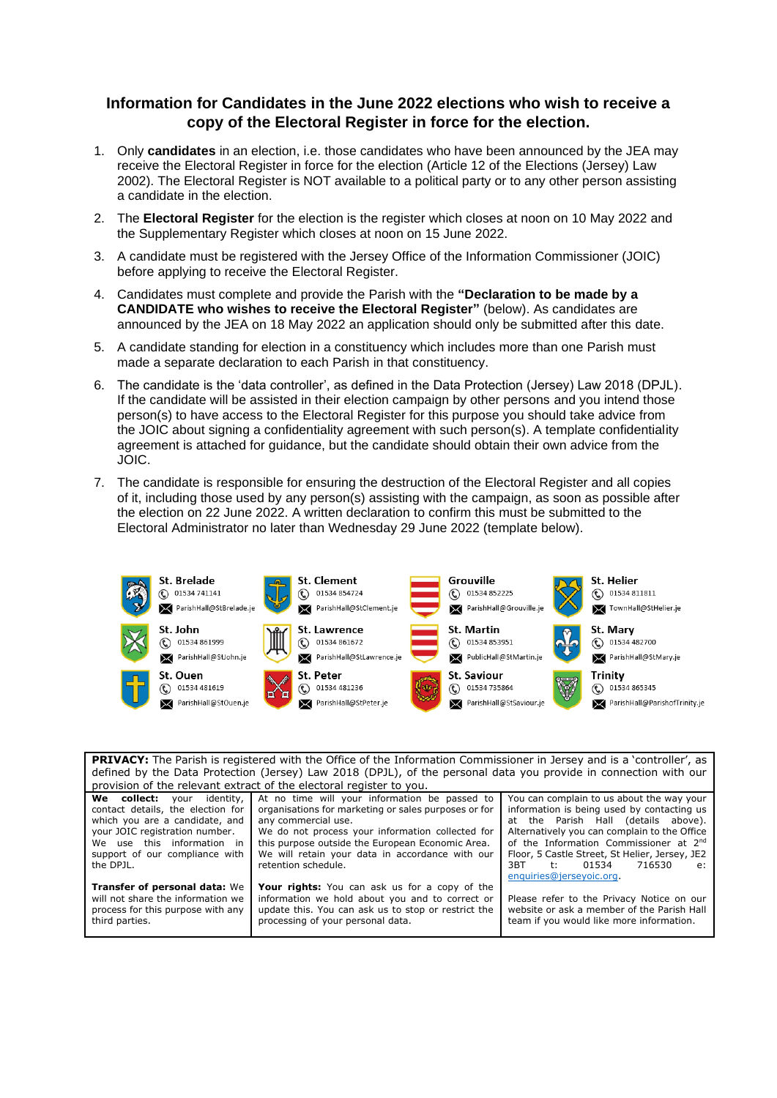# **Information for Candidates in the June 2022 elections who wish to receive a copy of the Electoral Register in force for the election.**

- 1. Only **candidates** in an election, i.e. those candidates who have been announced by the JEA may receive the Electoral Register in force for the election (Article 12 of the Elections (Jersey) Law 2002). The Electoral Register is NOT available to a political party or to any other person assisting a candidate in the election.
- 2. The **Electoral Register** for the election is the register which closes at noon on 10 May 2022 and the Supplementary Register which closes at noon on 15 June 2022.
- 3. A candidate must be registered with the Jersey Office of the Information Commissioner (JOIC) before applying to receive the Electoral Register.
- 4. Candidates must complete and provide the Parish with the **"Declaration to be made by a CANDIDATE who wishes to receive the Electoral Register"** (below). As candidates are announced by the JEA on 18 May 2022 an application should only be submitted after this date.
- 5. A candidate standing for election in a constituency which includes more than one Parish must made a separate declaration to each Parish in that constituency.
- 6. The candidate is the 'data controller', as defined in the Data Protection (Jersey) Law 2018 (DPJL). If the candidate will be assisted in their election campaign by other persons and you intend those person(s) to have access to the Electoral Register for this purpose you should take advice from the JOIC about signing a confidentiality agreement with such person(s). A template confidentiality agreement is attached for guidance, but the candidate should obtain their own advice from the JOIC.
- 7. The candidate is responsible for ensuring the destruction of the Electoral Register and all copies of it, including those used by any person(s) assisting with the campaign, as soon as possible after the election on 22 June 2022. A written declaration to confirm this must be submitted to the Electoral Administrator no later than Wednesday 29 June 2022 (template below).



| <b>PRIVACY:</b> The Parish is registered with the Office of the Information Commissioner in Jersey and is a 'controller', as<br>defined by the Data Protection (Jersey) Law 2018 (DPJL), of the personal data you provide in connection with our<br>provision of the relevant extract of the electoral register to you. |                                                                                                                                                                                                                                                                                                                |                                                                                                                                                                                                                                                                                                                                               |  |  |
|-------------------------------------------------------------------------------------------------------------------------------------------------------------------------------------------------------------------------------------------------------------------------------------------------------------------------|----------------------------------------------------------------------------------------------------------------------------------------------------------------------------------------------------------------------------------------------------------------------------------------------------------------|-----------------------------------------------------------------------------------------------------------------------------------------------------------------------------------------------------------------------------------------------------------------------------------------------------------------------------------------------|--|--|
| <b>We collect:</b> your identity,<br>contact details, the election for<br>which you are a candidate, and<br>your JOIC registration number.<br>We use this information in<br>support of our compliance with<br>the DPJL.                                                                                                 | At no time will your information be passed to<br>organisations for marketing or sales purposes or for<br>any commercial use.<br>We do not process your information collected for<br>this purpose outside the European Economic Area.<br>We will retain your data in accordance with our<br>retention schedule. | You can complain to us about the way your<br>information is being used by contacting us<br>at the Parish Hall (details above).<br>Alternatively you can complain to the Office<br>of the Information Commissioner at 2nd<br>Floor, 5 Castle Street, St Helier, Jersey, JE2<br>3BT<br>716530<br>01534<br>$+$<br>e:<br>enquiries@jerseyoic.org. |  |  |
| <b>Transfer of personal data: We</b><br>will not share the information we<br>process for this purpose with any<br>third parties.                                                                                                                                                                                        | Your rights: You can ask us for a copy of the<br>information we hold about you and to correct or<br>update this. You can ask us to stop or restrict the<br>processing of your personal data.                                                                                                                   | Please refer to the Privacy Notice on our<br>website or ask a member of the Parish Hall<br>team if you would like more information.                                                                                                                                                                                                           |  |  |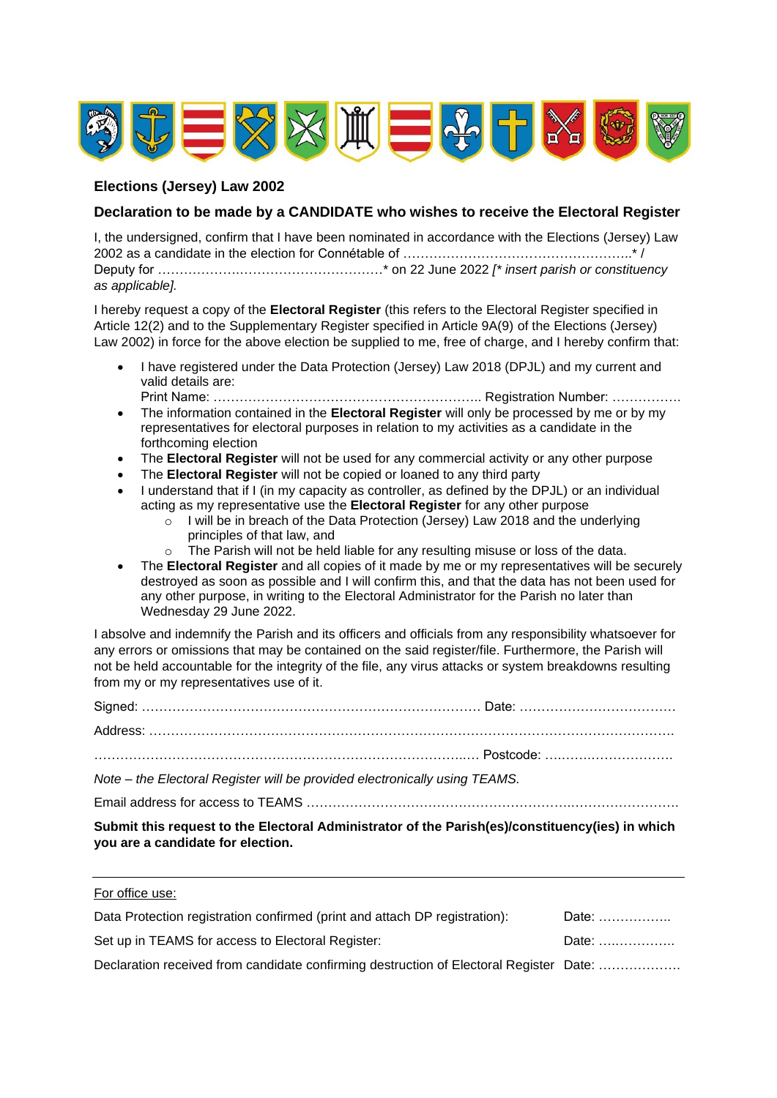

## **Elections (Jersey) Law 2002**

For office use:

### **Declaration to be made by a CANDIDATE who wishes to receive the Electoral Register**

I, the undersigned, confirm that I have been nominated in accordance with the Elections (Jersey) Law 2002 as a candidate in the election for Connétable of ……………………………………………..\* / Deputy for ……………….……………………………\* on 22 June 2022 *[\* insert parish or constituency as applicable].*

I hereby request a copy of the **Electoral Register** (this refers to the Electoral Register specified in Article 12(2) and to the Supplementary Register specified in Article 9A(9) of the Elections (Jersey) Law 2002) in force for the above election be supplied to me, free of charge, and I hereby confirm that:

- I have registered under the Data Protection (Jersey) Law 2018 (DPJL) and my current and valid details are:
- Print Name: …………………………………………………….. Registration Number: ……………. • The information contained in the **Electoral Register** will only be processed by me or by my representatives for electoral purposes in relation to my activities as a candidate in the forthcoming election
- The **Electoral Register** will not be used for any commercial activity or any other purpose
- The **Electoral Register** will not be copied or loaned to any third party
- I understand that if I (in my capacity as controller, as defined by the DPJL) or an individual acting as my representative use the **Electoral Register** for any other purpose
	- o I will be in breach of the Data Protection (Jersey) Law 2018 and the underlying principles of that law, and
	- o The Parish will not be held liable for any resulting misuse or loss of the data.
- The **Electoral Register** and all copies of it made by me or my representatives will be securely destroyed as soon as possible and I will confirm this, and that the data has not been used for any other purpose, in writing to the Electoral Administrator for the Parish no later than Wednesday 29 June 2022.

I absolve and indemnify the Parish and its officers and officials from any responsibility whatsoever for any errors or omissions that may be contained on the said register/file. Furthermore, the Parish will not be held accountable for the integrity of the file, any virus attacks or system breakdowns resulting from my or my representatives use of it.

| Note – the Electoral Register will be provided electronically using TEAMS. |  |
|----------------------------------------------------------------------------|--|

Email address for access to TEAMS …………………………………………………….…………………….

**Submit this request to the Electoral Administrator of the Parish(es)/constituency(ies) in which you are a candidate for election.**

| Data Protection registration confirmed (print and attach DP registration):             | Date: |
|----------------------------------------------------------------------------------------|-------|
| Set up in TEAMS for access to Electoral Register:                                      | Date: |
| Declaration received from candidate confirming destruction of Electoral Register Date: |       |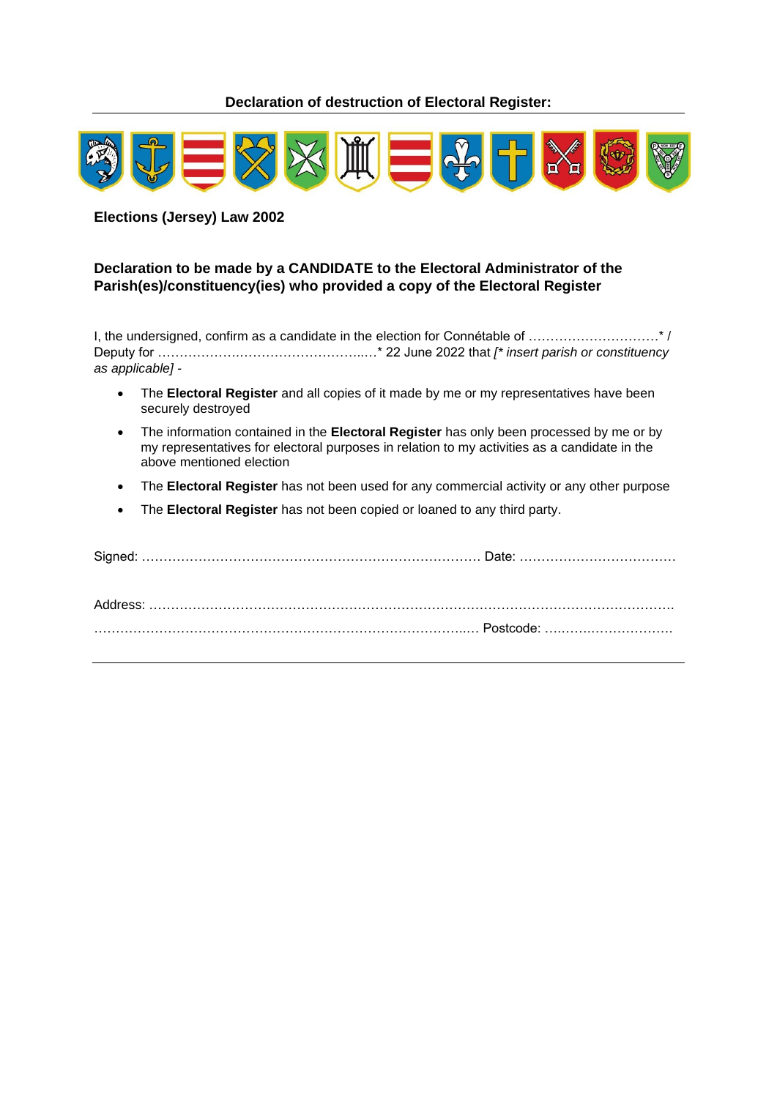**Declaration of destruction of Electoral Register:**



**Elections (Jersey) Law 2002**

## **Declaration to be made by a CANDIDATE to the Electoral Administrator of the Parish(es)/constituency(ies) who provided a copy of the Electoral Register**

I, the undersigned, confirm as a candidate in the election for Connétable of …………………………\* / Deputy for ……………….………………………..…\* 22 June 2022 that *[\* insert parish or constituency as applicable] -*

- The **Electoral Register** and all copies of it made by me or my representatives have been securely destroyed
- The information contained in the **Electoral Register** has only been processed by me or by my representatives for electoral purposes in relation to my activities as a candidate in the above mentioned election
- The **Electoral Register** has not been used for any commercial activity or any other purpose
- The **Electoral Register** has not been copied or loaned to any third party.